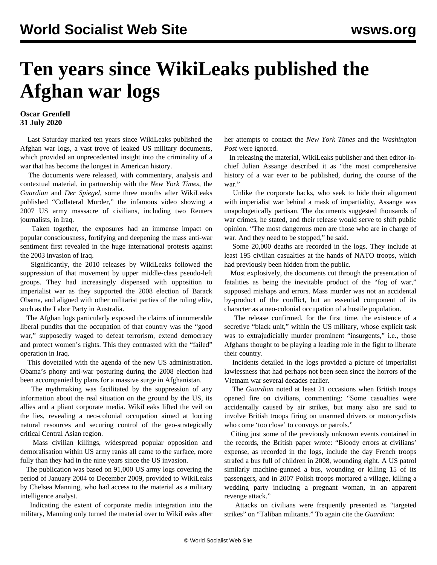## **Ten years since WikiLeaks published the Afghan war logs**

## **Oscar Grenfell 31 July 2020**

 Last Saturday marked ten years since WikiLeaks published the Afghan war logs, a vast trove of leaked US military documents, which provided an unprecedented insight into the criminality of a war that has become the longest in American history.

 The documents were released, with commentary, analysis and contextual material, in partnership with the *New York Times*, the *Guardian* and *Der Spiegel*, some three months after WikiLeaks published "Collateral Murder," the infamous video showing a 2007 US army massacre of civilians, including two Reuters journalists, in Iraq.

 Taken together, the exposures had an immense impact on popular consciousness, fortifying and deepening the mass anti-war sentiment first revealed in the huge international protests against the 2003 invasion of Iraq.

 Significantly, the 2010 releases by WikiLeaks followed the suppression of that movement by upper middle-class pseudo-left groups. They had increasingly dispensed with opposition to imperialist war as they supported the 2008 election of Barack Obama, and aligned with other militarist parties of the ruling elite, such as the Labor Party in Australia.

 The Afghan logs particularly exposed the claims of innumerable liberal pundits that the occupation of that country was the "good war," supposedly waged to defeat terrorism, extend democracy and protect women's rights. This they contrasted with the "failed" operation in Iraq.

 This dovetailed with the agenda of the new US administration. Obama's phony anti-war posturing during the 2008 election had been accompanied by plans for a massive surge in Afghanistan.

 The mythmaking was facilitated by the suppression of any information about the real situation on the ground by the US, its allies and a pliant corporate media. WikiLeaks lifted the veil on the lies, revealing a neo-colonial occupation aimed at looting natural resources and securing control of the geo-strategically critical Central Asian region.

 Mass civilian killings, widespread popular opposition and demoralisation within US army ranks all came to the surface, more fully than they had in the nine years since the US invasion.

 The publication was based on 91,000 US army logs covering the period of January 2004 to December 2009, provided to WikiLeaks by Chelsea Manning, who had access to the material as a military intelligence analyst.

 Indicating the extent of corporate media integration into the military, Manning only turned the material over to WikiLeaks after her attempts to contact the *New York Times* and the *Washington Post* were ignored.

 In releasing the material, WikiLeaks publisher and then editor-inchief Julian Assange described it as "the most comprehensive history of a war ever to be published, during the course of the war."

 Unlike the corporate hacks, who seek to hide their alignment with imperialist war behind a mask of impartiality, Assange was unapologetically partisan. The documents suggested thousands of war crimes, he stated, and their release would serve to shift public opinion. "The most dangerous men are those who are in charge of war. And they need to be stopped," he said.

 Some 20,000 deaths are recorded in the logs. They include at least 195 civilian casualties at the hands of NATO troops, which had previously been hidden from the public.

 Most explosively, the documents cut through the presentation of fatalities as being the inevitable product of the "fog of war," supposed mishaps and errors. Mass murder was not an accidental by-product of the conflict, but an essential component of its character as a neo-colonial occupation of a hostile population.

 The release confirmed, for the first time, the existence of a secretive "black unit," within the US military, whose explicit task was to extrajudicially murder prominent "insurgents," i.e., those Afghans thought to be playing a leading role in the fight to liberate their country.

 Incidents detailed in the logs provided a picture of imperialist lawlessness that had perhaps not been seen since the horrors of the Vietnam war several decades earlier.

 The *Guardian* noted at least 21 occasions when British troops opened fire on civilians, commenting: "Some casualties were accidentally caused by air strikes, but many also are said to involve British troops firing on unarmed drivers or motorcyclists who come 'too close' to convoys or patrols."

 Citing just some of the previously unknown events contained in the records, the British paper wrote: "Bloody errors at civilians' expense, as recorded in the logs, include the day French troops strafed a bus full of children in 2008, wounding eight. A US patrol similarly machine-gunned a bus, wounding or killing 15 of its passengers, and in 2007 Polish troops mortared a village, killing a wedding party including a pregnant woman, in an apparent revenge attack."

 Attacks on civilians were frequently presented as "targeted strikes" on "Taliban militants." To again cite the *Guardian*: